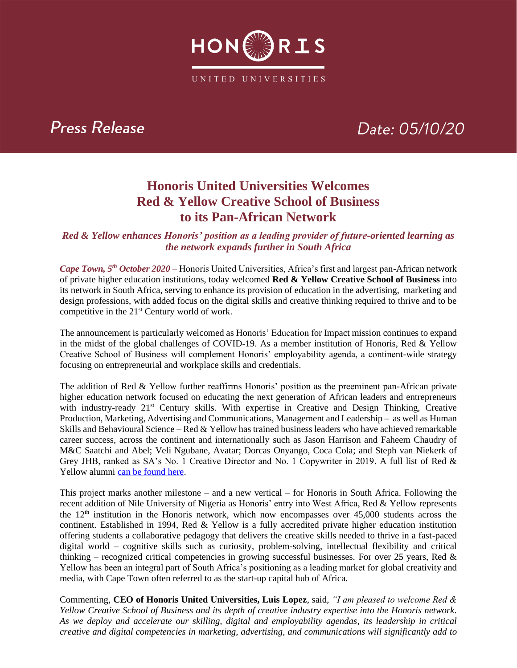

## Press Release

# Date: 05/10/20

### **Honoris United Universities Welcomes Red & Yellow Creative School of Business to its Pan-African Network**

#### *Red & Yellow enhances Honoris' position as a leading provider of future-oriented learning as the network expands further in South Africa*

*Cape Town, 5th October 2020 –* Honoris United Universities, Africa's first and largest pan-African network of private higher education institutions, today welcomed **Red & Yellow Creative School of Business** into its network in South Africa, serving to enhance its provision of education in the advertising, marketing and design professions, with added focus on the digital skills and creative thinking required to thrive and to be competitive in the 21<sup>st</sup> Century world of work.

The announcement is particularly welcomed as Honoris' Education for Impact mission continues to expand in the midst of the global challenges of COVID-19. As a member institution of Honoris, Red & Yellow Creative School of Business will complement Honoris' employability agenda, a continent-wide strategy focusing on entrepreneurial and workplace skills and credentials.

The addition of Red & Yellow further reaffirms Honoris' position as the preeminent pan-African private higher education network focused on educating the next generation of African leaders and entrepreneurs with industry-ready 21<sup>st</sup> Century skills. With expertise in Creative and Design Thinking, Creative Production, Marketing, Advertising and Communications, Management and Leadership – as well as Human Skills and Behavioural Science – Red & Yellow has trained business leaders who have achieved remarkable career success, across the continent and internationally such as Jason Harrison and Faheem Chaudry of M&C Saatchi and Abel; Veli Ngubane, Avatar; Dorcas Onyango, Coca Cola; and Steph van Niekerk of Grey JHB, ranked as SA's No. 1 Creative Director and No. 1 Copywriter in 2019. A full list of Red & Yellow alumni [can be found here.](https://www.redandyellow.co.za/on-campus/alumni/)

This project marks another milestone – and a new vertical – for Honoris in South Africa. Following the recent addition of Nile University of Nigeria as Honoris' entry into West Africa, Red & Yellow represents the  $12<sup>th</sup>$  institution in the Honoris network, which now encompasses over 45,000 students across the continent. Established in 1994, Red & Yellow is a fully accredited private higher education institution offering students a collaborative pedagogy that delivers the creative skills needed to thrive in a fast-paced digital world – cognitive skills such as curiosity, problem-solving, intellectual flexibility and critical thinking – recognized critical competencies in growing successful businesses. For over 25 years, Red  $\&$ Yellow has been an integral part of South Africa's positioning as a leading market for global creativity and media, with Cape Town often referred to as the start-up capital hub of Africa.

Commenting, **CEO of Honoris United Universities, Luis Lopez**, said, *"I am pleased to welcome Red & Yellow Creative School of Business and its depth of creative industry expertise into the Honoris network. As we deploy and accelerate our skilling, digital and employability agendas, its leadership in critical creative and digital competencies in marketing, advertising, and communications will significantly add to*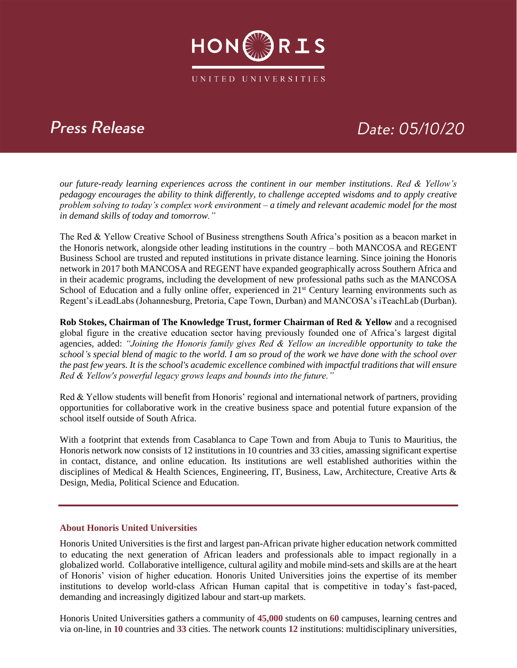

## **Press Release**

# Date: 05/10/20

*our future-ready learning experiences across the continent in our member institutions. Red & Yellow's pedagogy encourages the ability to think differently, to challenge accepted wisdoms and to apply creative problem solving to today's complex work environment – a timely and relevant academic model for the most in demand skills of today and tomorrow."*

The Red & Yellow Creative School of Business strengthens South Africa's position as a beacon market in the Honoris network, alongside other leading institutions in the country – both MANCOSA and REGENT Business School are trusted and reputed institutions in private distance learning. Since joining the Honoris network in 2017 both MANCOSA and REGENT have expanded geographically across Southern Africa and in their academic programs, including the development of new professional paths such as the MANCOSA School of Education and a fully online offer, experienced in 21<sup>st</sup> Century learning environments such as Regent's iLeadLabs (Johannesburg, Pretoria, Cape Town, Durban) and MANCOSA's iTeachLab (Durban).

**Rob Stokes, Chairman of The Knowledge Trust, former Chairman of Red & Yellow** and a recognised global figure in the creative education sector having previously founded one of Africa's largest digital agencies, added: "Joining the Honoris family gives Red & Yellow an incredible opportunity to take the *school's special blend of magic to the world. I am so proud of the work we have done with the school over the past few years. It is the school's academic excellence combined with impactful traditions that will ensure Red & Yellow's powerful legacy grows leaps and bounds into the future."*

Red & Yellow students will benefit from Honoris' regional and international network of partners, providing opportunities for collaborative work in the creative business space and potential future expansion of the school itself outside of South Africa.

With a footprint that extends from Casablanca to Cape Town and from Abuja to Tunis to Mauritius, the Honoris network now consists of 12 institutions in 10 countries and 33 cities, amassing significant expertise in contact, distance, and online education. Its institutions are well established authorities within the disciplines of Medical & Health Sciences, Engineering, IT, Business, Law, Architecture, Creative Arts & Design, Media, Political Science and Education.

#### **About Honoris United Universities**

Honoris United Universities is the first and largest pan-African private higher education network committed to educating the next generation of African leaders and professionals able to impact regionally in a globalized world. Collaborative intelligence, cultural agility and mobile mind-sets and skills are at the heart of Honoris' vision of higher education. Honoris United Universities joins the expertise of its member institutions to develop world-class African Human capital that is competitive in today's fast-paced, demanding and increasingly digitized labour and start-up markets.

Honoris United Universities gathers a community of **45,000** students on **60** campuses, learning centres and via on-line, in **10** countries and **33** cities. The network counts **12** institutions: multidisciplinary universities,